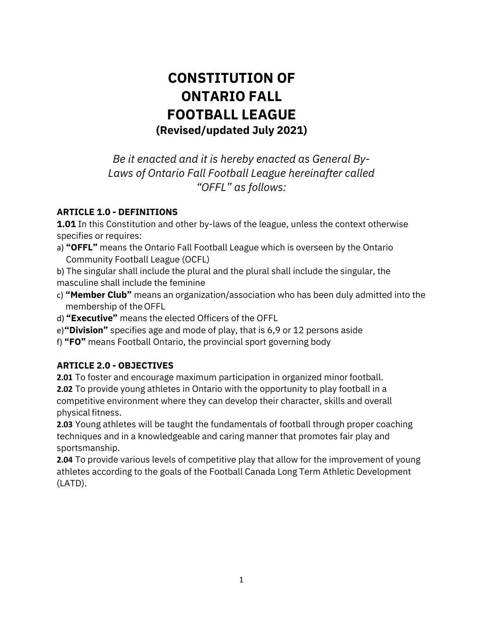# **CONSTITUTION OF ONTARIO FALL FOOTBALL LEAGUE (Revised/updated July 2021)**

*Be it enacted and it is hereby enacted as General By-Laws of Ontario Fall Football League hereinafter called "OFFL" as follows:*

## **ARTICLE 1.0 - DEFINITIONS**

**1.01** In this Constitution and other by-laws of the league, unless the context otherwise specifies or requires:

a) **"OFFL"** means the Ontario Fall Football League which is overseen by the Ontario Community Football League (OCFL)

b) The singular shall include the plural and the plural shall include the singular, the masculine shall include the feminine

- c) **"Member Club"** means an organization/association who has been duly admitted into the membership of the OFFL
- d) **"Executive"** means the elected Officers of the OFFL
- e)**"Division"** specifies age and mode of play, that is 6,9 or 12 persons aside
- f) **"FO"** means Football Ontario, the provincial sport governing body

## **ARTICLE 2.0 - OBJECTIVES**

**2.01** To foster and encourage maximum participation in organized minor football. **2.02** To provide young athletes in Ontario with the opportunity to play football in a competitive environment where they can develop their character, skills and overall physical fitness.

**2.03** Young athletes will be taught the fundamentals of football through proper coaching techniques and in a knowledgeable and caring manner that promotes fair play and sportsmanship.

**2.04** To provide various levels of competitive play that allow for the improvement of young athletes according to the goals of the Football Canada Long Term Athletic Development (LATD).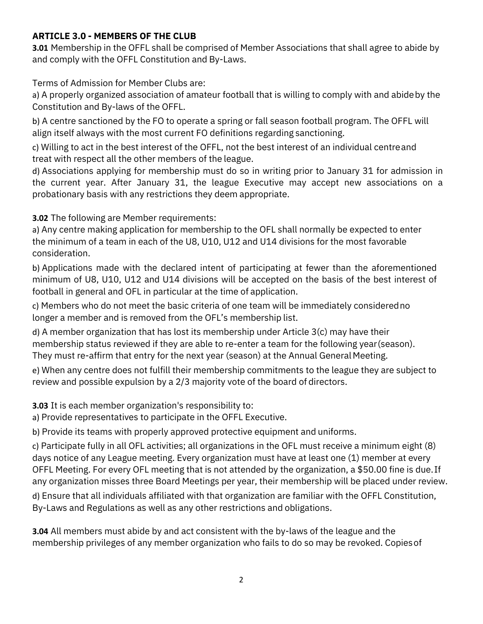## **ARTICLE 3.0 - MEMBERS OF THE CLUB**

**3.01** Membership in the OFFL shall be comprised of Member Associations that shall agree to abide by and comply with the OFFL Constitution and By-Laws.

Terms of Admission for Member Clubs are:

a) A properly organized association of amateur football that is willing to comply with and abideby the Constitution and By-laws of the OFFL.

b) A centre sanctioned by the FO to operate a spring or fall season football program. The OFFL will align itself always with the most current FO definitions regarding sanctioning.

c) Willing to act in the best interest of the OFFL, not the best interest of an individual centreand treat with respect all the other members of the league.

d) Associations applying for membership must do so in writing prior to January 31 for admission in the current year. After January 31, the league Executive may accept new associations on a probationary basis with any restrictions they deem appropriate.

**3.02** The following are Member requirements:

a) Any centre making application for membership to the OFL shall normally be expected to enter the minimum of a team in each of the U8, U10, U12 and U14 divisions for the most favorable consideration.

b) Applications made with the declared intent of participating at fewer than the aforementioned minimum of U8, U10, U12 and U14 divisions will be accepted on the basis of the best interest of football in general and OFL in particular at the time of application.

c) Members who do not meet the basic criteria of one team will be immediately consideredno longer a member and is removed from the OFL's membership list.

d) A member organization that has lost its membership under Article 3(c) may have their membership status reviewed if they are able to re-enter a team for the following year(season). They must re-affirm that entry for the next year (season) at the Annual General Meeting.

e) When any centre does not fulfill their membership commitments to the league they are subject to review and possible expulsion by a 2/3 majority vote of the board of directors.

**3.03** It is each member organization's responsibility to:

a) Provide representatives to participate in the OFFL Executive.

b) Provide its teams with properly approved protective equipment and uniforms.

c) Participate fully in all OFL activities; all organizations in the OFL must receive a minimum eight (8) days notice of any League meeting. Every organization must have at least one (1) member at every OFFL Meeting. For every OFL meeting that is not attended by the organization, a \$50.00 fine is due.If any organization misses three Board Meetings per year, their membership will be placed under review.

d) Ensure that all individuals affiliated with that organization are familiar with the OFFL Constitution, By-Laws and Regulations as well as any other restrictions and obligations.

**3.04** All members must abide by and act consistent with the by-laws of the league and the membership privileges of any member organization who fails to do so may be revoked. Copiesof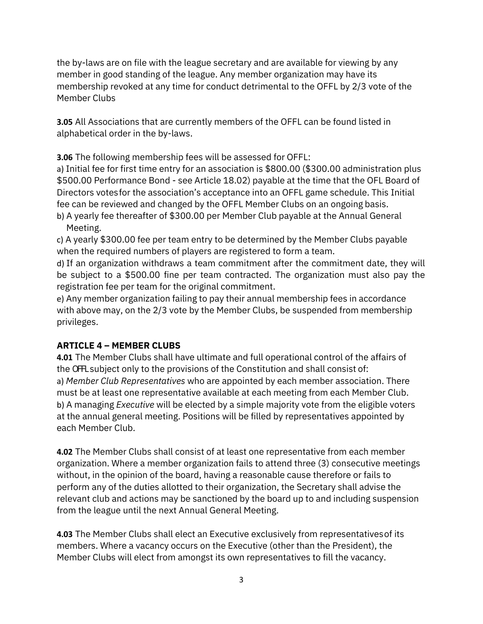the by-laws are on file with the league secretary and are available for viewing by any member in good standing of the league. Any member organization may have its membership revoked at any time for conduct detrimental to the OFFL by 2/3 vote of the Member Clubs

**3.05** All Associations that are currently members of the OFFL can be found listed in alphabetical order in the by-laws.

**3.06** The following membership fees will be assessed for OFFL:

a) Initial fee for first time entry for an association is \$800.00 (\$300.00 administration plus \$500.00 Performance Bond - see Article 18.02) payable at the time that the OFL Board of Directors votesfor the association's acceptance into an OFFL game schedule. This Initial fee can be reviewed and changed by the OFFL Member Clubs on an ongoing basis.

b) A yearly fee thereafter of \$300.00 per Member Club payable at the Annual General Meeting.

c) A yearly \$300.00 fee per team entry to be determined by the Member Clubs payable when the required numbers of players are registered to form a team.

d) If an organization withdraws a team commitment after the commitment date, they will be subject to a \$500.00 fine per team contracted. The organization must also pay the registration fee per team for the original commitment.

e) Any member organization failing to pay their annual membership fees in accordance with above may, on the 2/3 vote by the Member Clubs, be suspended from membership privileges.

## **ARTICLE 4 – MEMBER CLUBS**

**4.01** The Member Clubs shall have ultimate and full operational control of the affairs of the OFFLsubject only to the provisions of the Constitution and shall consist of: a) *Member Club Representatives* who are appointed by each member association. There must be at least one representative available at each meeting from each Member Club. b) A managing *Executive* will be elected by a simple majority vote from the eligible voters at the annual general meeting. Positions will be filled by representatives appointed by each Member Club.

**4.02** The Member Clubs shall consist of at least one representative from each member organization. Where a member organization fails to attend three (3) consecutive meetings without, in the opinion of the board, having a reasonable cause therefore or fails to perform any of the duties allotted to their organization, the Secretary shall advise the relevant club and actions may be sanctioned by the board up to and including suspension from the league until the next Annual General Meeting.

**4.03** The Member Clubs shall elect an Executive exclusively from representativesof its members. Where a vacancy occurs on the Executive (other than the President), the Member Clubs will elect from amongst its own representatives to fill the vacancy.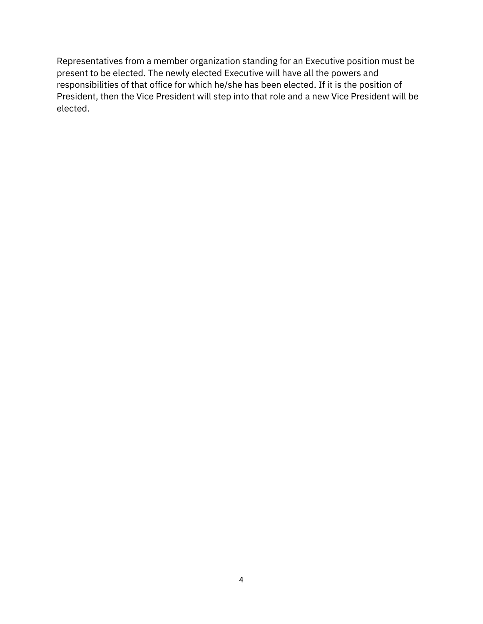Representatives from a member organization standing for an Executive position must be present to be elected. The newly elected Executive will have all the powers and responsibilities of that office for which he/she has been elected. If it is the position of President, then the Vice President will step into that role and a new Vice President will be elected.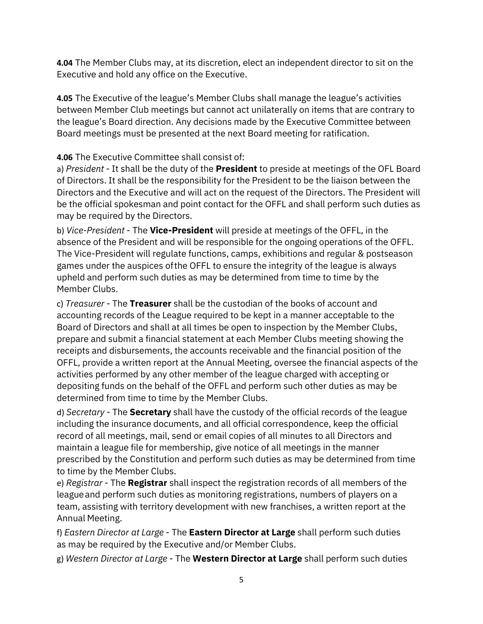**4.04** The Member Clubs may, at its discretion, elect an independent director to sit on the Executive and hold any office on the Executive.

**4.05** The Executive of the league's Member Clubs shall manage the league's activities between Member Club meetings but cannot act unilaterally on items that are contrary to the league's Board direction. Any decisions made by the Executive Committee between Board meetings must be presented at the next Board meeting for ratification.

**4.06** The Executive Committee shall consist of:

a) *President* - It shall be the duty of the **President** to preside at meetings of the OFL Board of Directors. It shall be the responsibility for the President to be the liaison between the Directors and the Executive and will act on the request of the Directors. The President will be the official spokesman and point contact for the OFFL and shall perform such duties as may be required by the Directors.

b) *Vice-President* - The **Vice-President** will preside at meetings of the OFFL, in the absence of the President and will be responsible for the ongoing operations of the OFFL. The Vice-President will regulate functions, camps, exhibitions and regular & postseason games under the auspices ofthe OFFL to ensure the integrity of the league is always upheld and perform such duties as may be determined from time to time by the Member Clubs.

c) *Treasurer* - The **Treasurer** shall be the custodian of the books of account and accounting records of the League required to be kept in a manner acceptable to the Board of Directors and shall at all times be open to inspection by the Member Clubs, prepare and submit a financial statement at each Member Clubs meeting showing the receipts and disbursements, the accounts receivable and the financial position of the OFFL, provide a written report at the Annual Meeting, oversee the financial aspects of the activities performed by any other member of the league charged with accepting or depositing funds on the behalf of the OFFL and perform such other duties as may be determined from time to time by the Member Clubs.

d) *Secretary* - The **Secretary** shall have the custody of the official records of the league including the insurance documents, and all official correspondence, keep the official record of all meetings, mail, send or email copies of all minutes to all Directors and maintain a league file for membership, give notice of all meetings in the manner prescribed by the Constitution and perform such duties as may be determined from time to time by the Member Clubs.

e) *Registrar* - The **Registrar** shall inspect the registration records of all members of the leagueand perform such duties as monitoring registrations, numbers of players on a team, assisting with territory development with new franchises, a written report at the Annual Meeting.

f) *Eastern Director at Large* - The **Eastern Director at Large** shall perform such duties as may be required by the Executive and/or Member Clubs.

g) *Western Director at Large* - The **Western Director at Large** shall perform such duties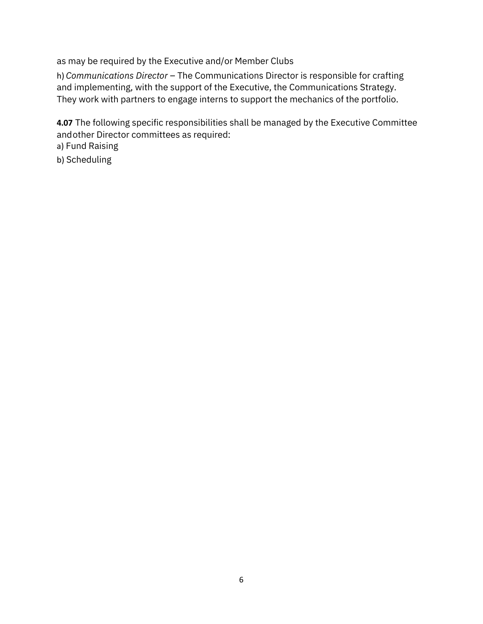as may be required by the Executive and/or Member Clubs

h) *Communications Director* – The Communications Director is responsible for crafting and implementing, with the support of the Executive, the Communications Strategy. They work with partners to engage interns to support the mechanics of the portfolio.

**4.07** The following specific responsibilities shall be managed by the Executive Committee andother Director committees as required:

a) Fund Raising

b) Scheduling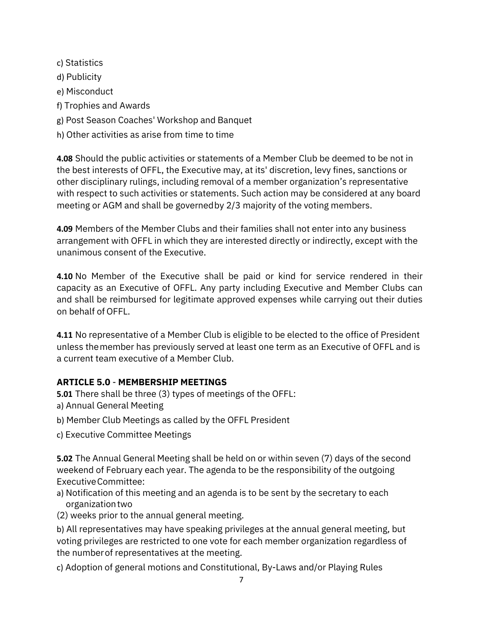c) Statistics d) Publicity e) Misconduct f) Trophies and Awards g) Post Season Coaches' Workshop and Banquet h) Other activities as arise from time to time

**4.08** Should the public activities or statements of a Member Club be deemed to be not in the best interests of OFFL, the Executive may, at its' discretion, levy fines, sanctions or other disciplinary rulings, including removal of a member organization's representative with respect to such activities or statements. Such action may be considered at any board meeting or AGM and shall be governedby 2/3 majority of the voting members.

**4.09** Members of the Member Clubs and their families shall not enter into any business arrangement with OFFL in which they are interested directly or indirectly, except with the unanimous consent of the Executive.

**4.10** No Member of the Executive shall be paid or kind for service rendered in their capacity as an Executive of OFFL. Any party including Executive and Member Clubs can and shall be reimbursed for legitimate approved expenses while carrying out their duties on behalf of OFFL.

**4.11** No representative of a Member Club is eligible to be elected to the office of President unless themember has previously served at least one term as an Executive of OFFL and is a current team executive of a Member Club.

## **ARTICLE 5.0** - **MEMBERSHIP MEETINGS**

**5.01** There shall be three (3) types of meetings of the OFFL:

- a) Annual General Meeting
- b) Member Club Meetings as called by the OFFL President
- c) Executive Committee Meetings

**5.02** The Annual General Meeting shall be held on or within seven (7) days of the second weekend of February each year. The agenda to be the responsibility of the outgoing ExecutiveCommittee:

- a) Notification of this meeting and an agenda is to be sent by the secretary to each organizationtwo
- (2) weeks prior to the annual general meeting.

b) All representatives may have speaking privileges at the annual general meeting, but voting privileges are restricted to one vote for each member organization regardless of the numberof representatives at the meeting.

c) Adoption of general motions and Constitutional, By-Laws and/or Playing Rules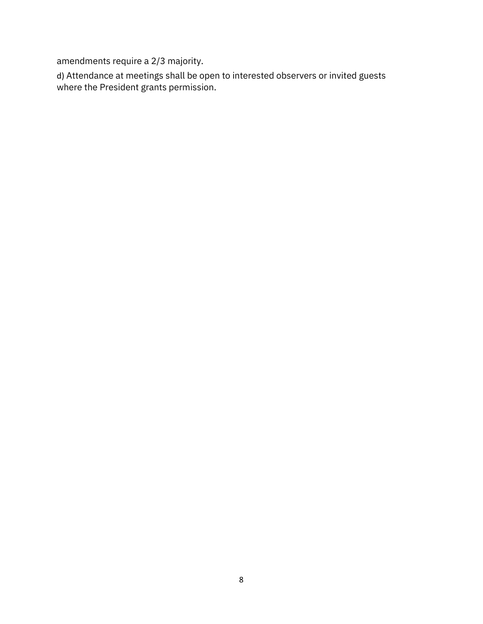amendments require a 2/3 majority.

d) Attendance at meetings shall be open to interested observers or invited guests where the President grants permission.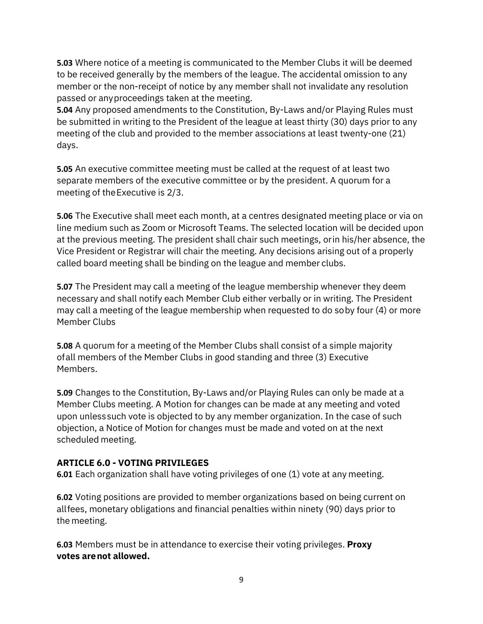**5.03** Where notice of a meeting is communicated to the Member Clubs it will be deemed to be received generally by the members of the league. The accidental omission to any member or the non-receipt of notice by any member shall not invalidate any resolution passed or anyproceedings taken at the meeting.

**5.04** Any proposed amendments to the Constitution, By-Laws and/or Playing Rules must be submitted in writing to the President of the league at least thirty (30) days prior to any meeting of the club and provided to the member associations at least twenty-one (21) days.

**5.05** An executive committee meeting must be called at the request of at least two separate members of the executive committee or by the president. A quorum for a meeting of theExecutive is 2/3.

**5.06** The Executive shall meet each month, at a centres designated meeting place or via on line medium such as Zoom or Microsoft Teams. The selected location will be decided upon at the previous meeting. The president shall chair such meetings, orin his/her absence, the Vice President or Registrar will chair the meeting. Any decisions arising out of a properly called board meeting shall be binding on the league and member clubs.

**5.07** The President may call a meeting of the league membership whenever they deem necessary and shall notify each Member Club either verbally or in writing. The President may call a meeting of the league membership when requested to do soby four (4) or more Member Clubs

**5.08** A quorum for a meeting of the Member Clubs shall consist of a simple majority ofall members of the Member Clubs in good standing and three (3) Executive Members.

**5.09** Changes to the Constitution, By-Laws and/or Playing Rules can only be made at a Member Clubs meeting. A Motion for changes can be made at any meeting and voted upon unlesssuch vote is objected to by any member organization. In the case of such objection, a Notice of Motion for changes must be made and voted on at the next scheduled meeting.

## **ARTICLE 6.0 - VOTING PRIVILEGES**

**6.01** Each organization shall have voting privileges of one (1) vote at any meeting.

**6.02** Voting positions are provided to member organizations based on being current on allfees, monetary obligations and financial penalties within ninety (90) days prior to the meeting.

**6.03** Members must be in attendance to exercise their voting privileges. **Proxy votes arenot allowed.**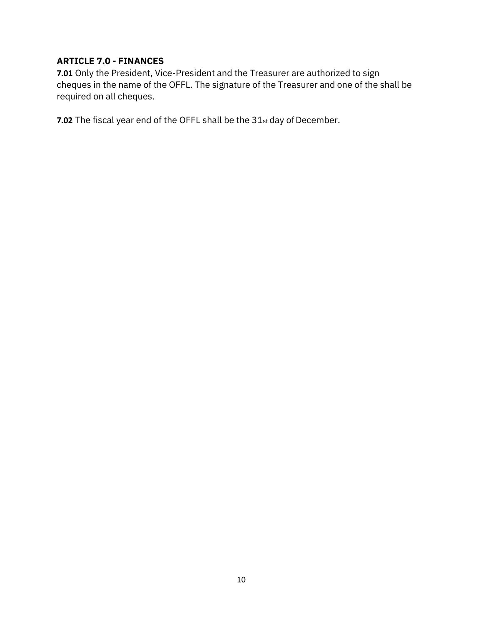## **ARTICLE 7.0 - FINANCES**

**7.01** Only the President, Vice-President and the Treasurer are authorized to sign cheques in the name of the OFFL. The signature of the Treasurer and one of the shall be required on all cheques.

**7.02** The fiscal year end of the OFFL shall be the 31st day of December.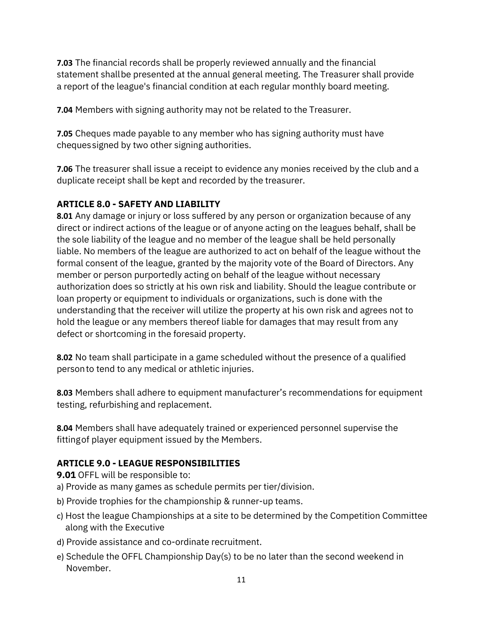**7.03** The financial records shall be properly reviewed annually and the financial statement shallbe presented at the annual general meeting. The Treasurer shall provide a report of the league's financial condition at each regular monthly board meeting.

**7.04** Members with signing authority may not be related to the Treasurer.

**7.05** Cheques made payable to any member who has signing authority must have chequessigned by two other signing authorities.

**7.06** The treasurer shall issue a receipt to evidence any monies received by the club and a duplicate receipt shall be kept and recorded by the treasurer.

## **ARTICLE 8.0 - SAFETY AND LIABILITY**

**8.01** Any damage or injury or loss suffered by any person or organization because of any direct or indirect actions of the league or of anyone acting on the leagues behalf, shall be the sole liability of the league and no member of the league shall be held personally liable. No members of the league are authorized to act on behalf of the league without the formal consent of the league, granted by the majority vote of the Board of Directors. Any member or person purportedly acting on behalf of the league without necessary authorization does so strictly at his own risk and liability. Should the league contribute or loan property or equipment to individuals or organizations, such is done with the understanding that the receiver will utilize the property at his own risk and agrees not to hold the league or any members thereof liable for damages that may result from any defect or shortcoming in the foresaid property.

**8.02** No team shall participate in a game scheduled without the presence of a qualified personto tend to any medical or athletic injuries.

**8.03** Members shall adhere to equipment manufacturer's recommendations for equipment testing, refurbishing and replacement.

**8.04** Members shall have adequately trained or experienced personnel supervise the fittingof player equipment issued by the Members.

## **ARTICLE 9.0 - LEAGUE RESPONSIBILITIES**

**9.01** OFFL will be responsible to:

- a) Provide as many games as schedule permits per tier/division.
- b) Provide trophies for the championship & runner-up teams.
- c) Host the league Championships at a site to be determined by the Competition Committee along with the Executive
- d) Provide assistance and co-ordinate recruitment.
- e) Schedule the OFFL Championship Day(s) to be no later than the second weekend in November.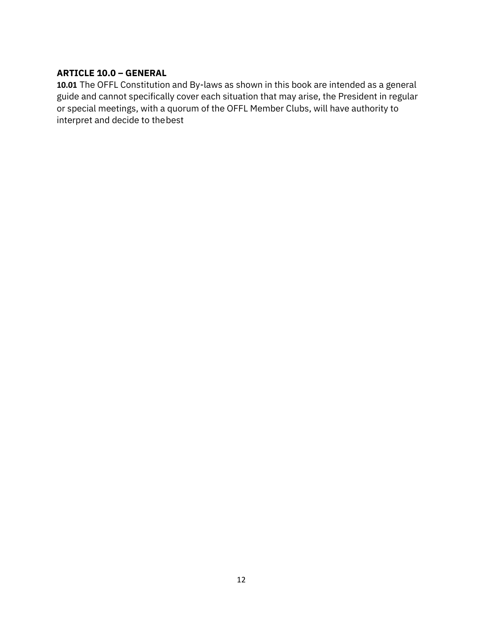# **ARTICLE 10.0 – GENERAL**

**10.01** The OFFL Constitution and By-laws as shown in this book are intended as a general guide and cannot specifically cover each situation that may arise, the President in regular or special meetings, with a quorum of the OFFL Member Clubs, will have authority to interpret and decide to thebest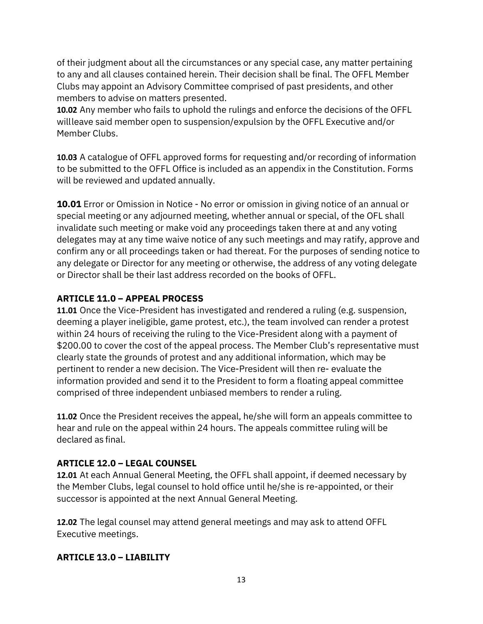of their judgment about all the circumstances or any special case, any matter pertaining to any and all clauses contained herein. Their decision shall be final. The OFFL Member Clubs may appoint an Advisory Committee comprised of past presidents, and other members to advise on matters presented.

**10.02** Any member who fails to uphold the rulings and enforce the decisions of the OFFL willleave said member open to suspension/expulsion by the OFFL Executive and/or Member Clubs.

**10.03** A catalogue of OFFL approved forms for requesting and/or recording of information to be submitted to the OFFL Office is included as an appendix in the Constitution. Forms will be reviewed and updated annually.

**10.01** Error or Omission in Notice - No error or omission in giving notice of an annual or special meeting or any adjourned meeting, whether annual or special, of the OFL shall invalidate such meeting or make void any proceedings taken there at and any voting delegates may at any time waive notice of any such meetings and may ratify, approve and confirm any or all proceedings taken or had thereat. For the purposes of sending notice to any delegate or Director for any meeting or otherwise, the address of any voting delegate or Director shall be their last address recorded on the books of OFFL.

## **ARTICLE 11.0 – APPEAL PROCESS**

**11.01** Once the Vice-President has investigated and rendered a ruling (e.g. suspension, deeming a player ineligible, game protest, etc.), the team involved can render a protest within 24 hours of receiving the ruling to the Vice-President along with a payment of \$200.00 to cover the cost of the appeal process. The Member Club's representative must clearly state the grounds of protest and any additional information, which may be pertinent to render a new decision. The Vice-President will then re- evaluate the information provided and send it to the President to form a floating appeal committee comprised of three independent unbiased members to render a ruling.

**11.02** Once the President receives the appeal, he/she will form an appeals committee to hear and rule on the appeal within 24 hours. The appeals committee ruling will be declared as final.

### **ARTICLE 12.0 – LEGAL COUNSEL**

**12.01** At each Annual General Meeting, the OFFL shall appoint, if deemed necessary by the Member Clubs, legal counsel to hold office until he/she is re-appointed, or their successor is appointed at the next Annual General Meeting.

**12.02** The legal counsel may attend general meetings and may ask to attend OFFL Executive meetings.

### **ARTICLE 13.0 – LIABILITY**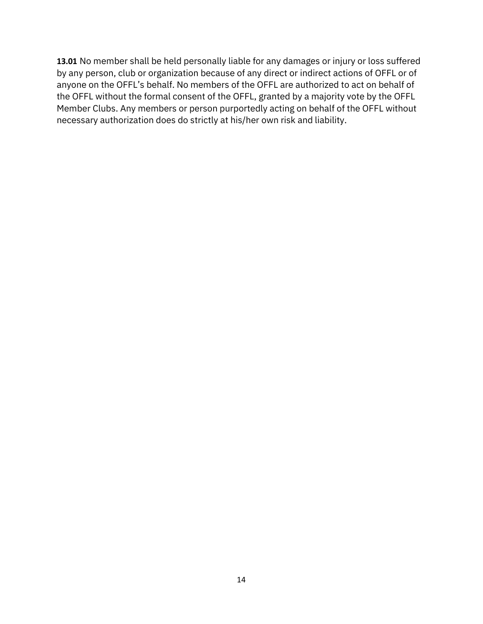**13.01** No member shall be held personally liable for any damages or injury or loss suffered by any person, club or organization because of any direct or indirect actions of OFFL or of anyone on the OFFL's behalf. No members of the OFFL are authorized to act on behalf of the OFFL without the formal consent of the OFFL, granted by a majority vote by the OFFL Member Clubs. Any members or person purportedly acting on behalf of the OFFL without necessary authorization does do strictly at his/her own risk and liability.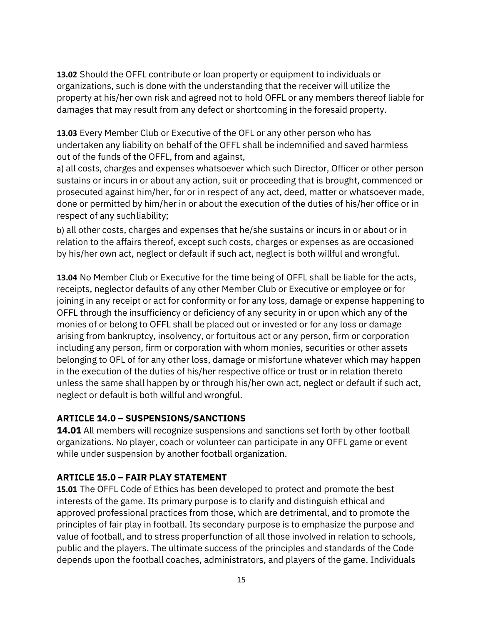**13.02** Should the OFFL contribute or loan property or equipment to individuals or organizations, such is done with the understanding that the receiver will utilize the property at his/her own risk and agreed not to hold OFFL or any members thereof liable for damages that may result from any defect or shortcoming in the foresaid property.

**13.03** Every Member Club or Executive of the OFL or any other person who has undertaken any liability on behalf of the OFFL shall be indemnified and saved harmless out of the funds of the OFFL, from and against,

a) all costs, charges and expenses whatsoever which such Director, Officer or other person sustains or incurs in or about any action, suit or proceeding that is brought, commenced or prosecuted against him/her, for or in respect of any act, deed, matter or whatsoever made, done or permitted by him/her in or about the execution of the duties of his/her office or in respect of any suchliability;

b) all other costs, charges and expenses that he/she sustains or incurs in or about or in relation to the affairs thereof, except such costs, charges or expenses as are occasioned by his/her own act, neglect or default if such act, neglect is both willful and wrongful.

**13.04** No Member Club or Executive for the time being of OFFL shall be liable for the acts, receipts, neglector defaults of any other Member Club or Executive or employee or for joining in any receipt or act for conformity or for any loss, damage or expense happening to OFFL through the insufficiency or deficiency of any security in or upon which any of the monies of or belong to OFFL shall be placed out or invested or for any loss or damage arising from bankruptcy, insolvency, or fortuitous act or any person, firm or corporation including any person, firm or corporation with whom monies, securities or other assets belonging to OFL of for any other loss, damage or misfortune whatever which may happen in the execution of the duties of his/her respective office or trust or in relation thereto unless the same shall happen by or through his/her own act, neglect or default if such act, neglect or default is both willful and wrongful.

## **ARTICLE 14.0 – SUSPENSIONS/SANCTIONS**

**14.01** All members will recognize suspensions and sanctions set forth by other football organizations. No player, coach or volunteer can participate in any OFFL game or event while under suspension by another football organization.

## **ARTICLE 15.0 – FAIR PLAY STATEMENT**

**15.01** The OFFL Code of Ethics has been developed to protect and promote the best interests of the game. Its primary purpose is to clarify and distinguish ethical and approved professional practices from those, which are detrimental, and to promote the principles of fair play in football. Its secondary purpose is to emphasize the purpose and value of football, and to stress properfunction of all those involved in relation to schools, public and the players. The ultimate success of the principles and standards of the Code depends upon the football coaches, administrators, and players of the game. Individuals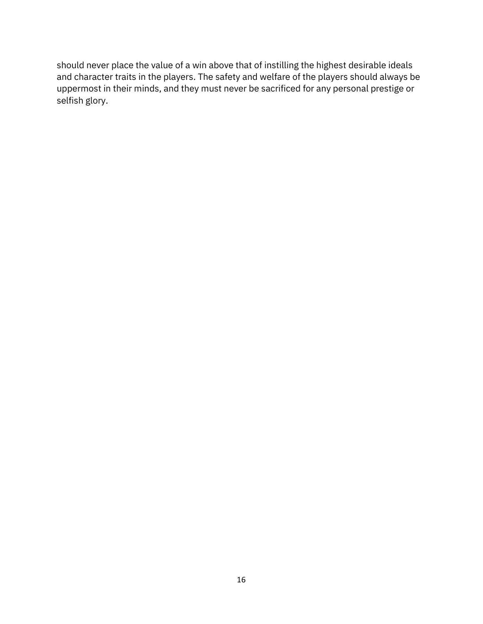should never place the value of a win above that of instilling the highest desirable ideals and character traits in the players. The safety and welfare of the players should always be uppermost in their minds, and they must never be sacrificed for any personal prestige or selfish glory.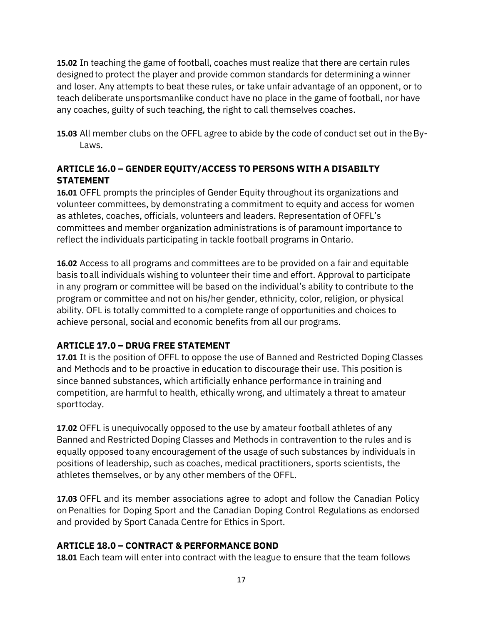**15.02** In teaching the game of football, coaches must realize that there are certain rules designedto protect the player and provide common standards for determining a winner and loser. Any attempts to beat these rules, or take unfair advantage of an opponent, or to teach deliberate unsportsmanlike conduct have no place in the game of football, nor have any coaches, guilty of such teaching, the right to call themselves coaches.

**15.03** All member clubs on the OFFL agree to abide by the code of conduct set out in theBy-Laws.

## **ARTICLE 16.0 – GENDER EQUITY/ACCESS TO PERSONS WITH A DISABILTY STATEMENT**

**16.01** OFFL prompts the principles of Gender Equity throughout its organizations and volunteer committees, by demonstrating a commitment to equity and access for women as athletes, coaches, officials, volunteers and leaders. Representation of OFFL's committees and member organization administrations is of paramount importance to reflect the individuals participating in tackle football programs in Ontario.

**16.02** Access to all programs and committees are to be provided on a fair and equitable basis toall individuals wishing to volunteer their time and effort. Approval to participate in any program or committee will be based on the individual's ability to contribute to the program or committee and not on his/her gender, ethnicity, color, religion, or physical ability. OFL is totally committed to a complete range of opportunities and choices to achieve personal, social and economic benefits from all our programs.

## **ARTICLE 17.0 – DRUG FREE STATEMENT**

**17.01** It is the position of OFFL to oppose the use of Banned and Restricted Doping Classes and Methods and to be proactive in education to discourage their use. This position is since banned substances, which artificially enhance performance in training and competition, are harmful to health, ethically wrong, and ultimately a threat to amateur sporttoday.

**17.02** OFFL is unequivocally opposed to the use by amateur football athletes of any Banned and Restricted Doping Classes and Methods in contravention to the rules and is equally opposed toany encouragement of the usage of such substances by individuals in positions of leadership, such as coaches, medical practitioners, sports scientists, the athletes themselves, or by any other members of the OFFL.

**17.03** OFFL and its member associations agree to adopt and follow the Canadian Policy onPenalties for Doping Sport and the Canadian Doping Control Regulations as endorsed and provided by Sport Canada Centre for Ethics in Sport.

## **ARTICLE 18.0 – CONTRACT & PERFORMANCE BOND**

**18.01** Each team will enter into contract with the league to ensure that the team follows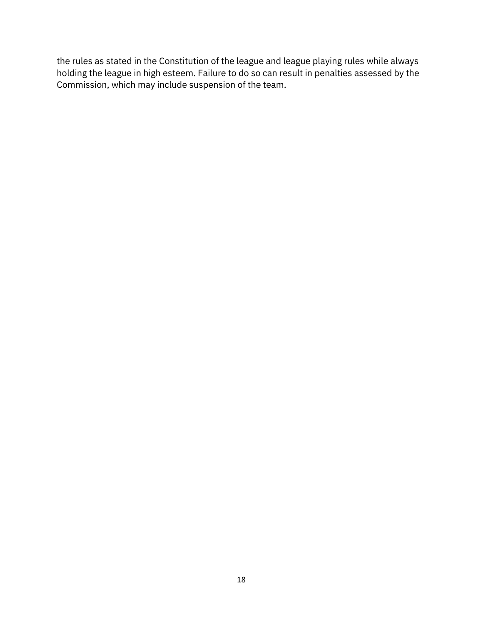the rules as stated in the Constitution of the league and league playing rules while always holding the league in high esteem. Failure to do so can result in penalties assessed by the Commission, which may include suspension of the team.